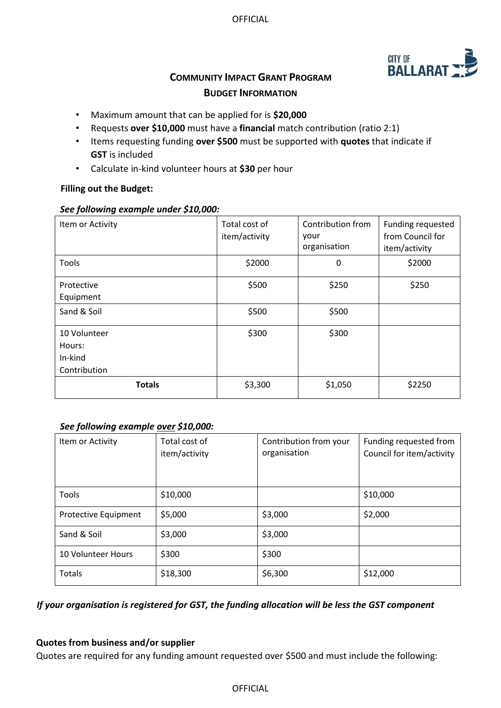

# **COMMUNITY IMPACT GRANT PROGRAM BUDGET INFORMATION**

- Maximum amount that can be applied for is **\$20,000**
- Requests **over \$10,000** must have a **financial** match contribution (ratio 2:1)
- Items requesting funding **over \$500** must be supported with **quotes** that indicate if **GST** is included
- Calculate in-kind volunteer hours at **\$30** per hour

## **Filling out the Budget:**

## *See following example under \$10,000:*

| Item or Activity                                  | Total cost of<br>item/activity | Contribution from<br>your<br>organisation | Funding requested<br>from Council for<br>item/activity |
|---------------------------------------------------|--------------------------------|-------------------------------------------|--------------------------------------------------------|
| Tools                                             | \$2000                         | 0                                         | \$2000                                                 |
| Protective<br>Equipment                           | \$500                          | \$250                                     | \$250                                                  |
| Sand & Soil                                       | \$500                          | \$500                                     |                                                        |
| 10 Volunteer<br>Hours:<br>In-kind<br>Contribution | \$300                          | \$300                                     |                                                        |
| <b>Totals</b>                                     | \$3,300                        | \$1,050                                   | \$2250                                                 |

## *See following example over \$10,000:*

| Item or Activity          | Total cost of<br>item/activity | Contribution from your<br>organisation | Funding requested from<br>Council for item/activity |
|---------------------------|--------------------------------|----------------------------------------|-----------------------------------------------------|
| <b>Tools</b>              | \$10,000                       |                                        | \$10,000                                            |
| Protective Equipment      | \$5,000                        | \$3,000                                | \$2,000                                             |
| Sand & Soil               | \$3,000                        | \$3,000                                |                                                     |
| <b>10 Volunteer Hours</b> | \$300                          | \$300                                  |                                                     |
| <b>Totals</b>             | \$18,300                       | \$6,300                                | \$12,000                                            |

## *If your organisation is registered for GST, the funding allocation will be less the GST component*

## **Quotes from business and/or supplier**

Quotes are required for any funding amount requested over \$500 and must include the following:

## OFFICIAL